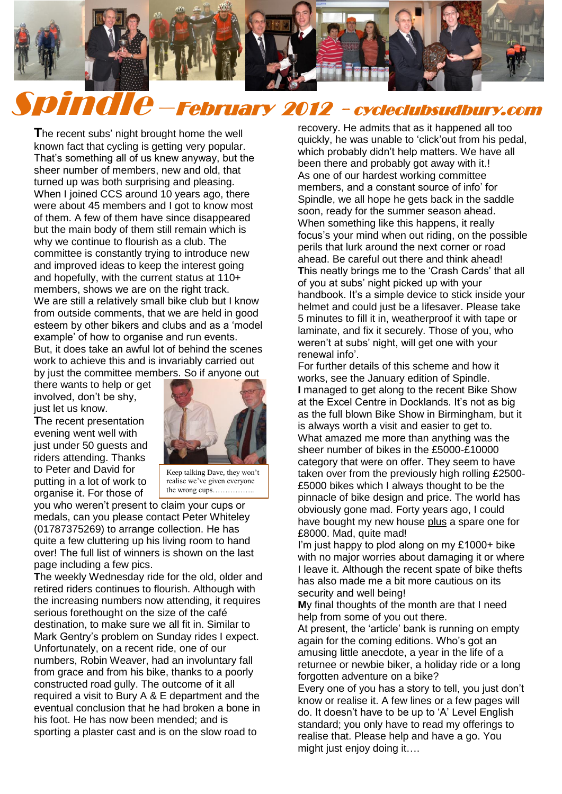

# Spindle –February 2012 - cycleclubsudbury.com

**T**he recent subs' night brought home the well known fact that cycling is getting very popular. That's something all of us knew anyway, but the sheer number of members, new and old, that turned up was both surprising and pleasing. When I joined CCS around 10 years ago, there were about 45 members and I got to know most of them. A few of them have since disappeared but the main body of them still remain which is why we continue to flourish as a club. The committee is constantly trying to introduce new and improved ideas to keep the interest going and hopefully, with the current status at 110+ members, shows we are on the right track. We are still a relatively small bike club but I know from outside comments, that we are held in good esteem by other bikers and clubs and as a 'model example' of how to organise and run events. But, it does take an awful lot of behind the scenes work to achieve this and is invariably carried out by just the committee members. So if anyone out

there wants to help or get involved, don't be shy, just let us know.

**T**he recent presentation evening went well with just under 50 guests and riders attending. Thanks to Peter and David for putting in a lot of work to organise it. For those of



Keep talking Dave, they won't realise we've given everyone the wrong cups……………..

you who weren't present to claim your cups or medals, can you please contact Peter Whiteley (01787375269) to arrange collection. He has quite a few cluttering up his living room to hand over! The full list of winners is shown on the last page including a few pics.

**T**he weekly Wednesday ride for the old, older and retired riders continues to flourish. Although with the increasing numbers now attending, it requires serious forethought on the size of the café destination, to make sure we all fit in. Similar to Mark Gentry's problem on Sunday rides I expect. Unfortunately, on a recent ride, one of our numbers, Robin Weaver, had an involuntary fall from grace and from his bike, thanks to a poorly constructed road gully. The outcome of it all required a visit to Bury A & E department and the eventual conclusion that he had broken a bone in his foot. He has now been mended; and is sporting a plaster cast and is on the slow road to

recovery. He admits that as it happened all too quickly, he was unable to 'click'out from his pedal, which probably didn't help matters. We have all been there and probably got away with it.! As one of our hardest working committee members, and a constant source of info' for Spindle, we all hope he gets back in the saddle soon, ready for the summer season ahead. When something like this happens, it really focus's your mind when out riding, on the possible perils that lurk around the next corner or road ahead. Be careful out there and think ahead! **T**his neatly brings me to the 'Crash Cards' that all of you at subs' night picked up with your handbook. It's a simple device to stick inside your helmet and could just be a lifesaver. Please take 5 minutes to fill it in, weatherproof it with tape or laminate, and fix it securely. Those of you, who weren't at subs' night, will get one with your renewal info'.

For further details of this scheme and how it works, see the January edition of Spindle. **I** managed to get along to the recent Bike Show at the Excel Centre in Docklands. It's not as big as the full blown Bike Show in Birmingham, but it is always worth a visit and easier to get to. What amazed me more than anything was the sheer number of bikes in the £5000-£10000 category that were on offer. They seem to have taken over from the previously high rolling £2500- £5000 bikes which I always thought to be the pinnacle of bike design and price. The world has obviously gone mad. Forty years ago, I could have bought my new house plus a spare one for £8000. Mad, quite mad!

I'm just happy to plod along on my £1000+ bike with no major worries about damaging it or where I leave it. Although the recent spate of bike thefts has also made me a bit more cautious on its security and well being!

**M**y final thoughts of the month are that I need help from some of you out there.

At present, the 'article' bank is running on empty again for the coming editions. Who's got an amusing little anecdote, a year in the life of a returnee or newbie biker, a holiday ride or a long forgotten adventure on a bike?

Every one of you has a story to tell, you just don't know or realise it. A few lines or a few pages will do. It doesn't have to be up to 'A' Level English standard; you only have to read my offerings to realise that. Please help and have a go. You might just enjoy doing it….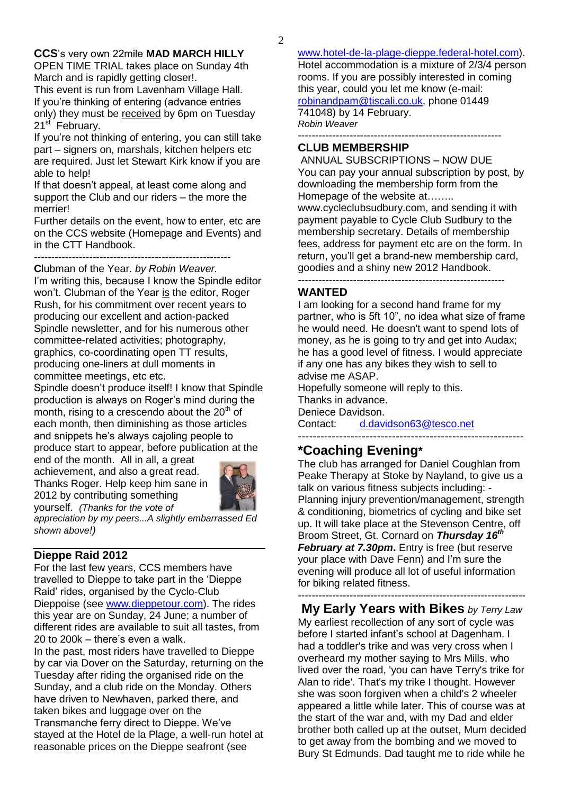**CCS**'s very own 22mile **MAD MARCH HILLY** OPEN TIME TRIAL takes place on Sunday 4th March and is rapidly getting closer!.

This event is run from Lavenham Village Hall. If you're thinking of entering (advance entries only) they must be received by 6pm on Tuesday 21<sup>st</sup> February.

If you're not thinking of entering, you can still take part – signers on, marshals, kitchen helpers etc are required. Just let Stewart Kirk know if you are able to help!

If that doesn't appeal, at least come along and support the Club and our riders – the more the merrier!

Further details on the event, how to enter, etc are on the CCS website (Homepage and Events) and in the CTT Handbook.

---------------------------------------------------------

**C**lubman of the Year. *by Robin Weaver.* I'm writing this, because I know the Spindle editor won't. Clubman of the Year is the editor, Roger Rush, for his commitment over recent years to producing our excellent and action-packed Spindle newsletter, and for his numerous other committee-related activities; photography, graphics, co-coordinating open TT results, producing one-liners at dull moments in committee meetings, etc etc.

Spindle doesn't produce itself! I know that Spindle production is always on Roger's mind during the month, rising to a crescendo about the  $20<sup>th</sup>$  of each month, then diminishing as those articles and snippets he's always cajoling people to produce start to appear, before publication at the

end of the month. All in all, a great achievement, and also a great read. Thanks Roger. Help keep him sane in 2012 by contributing something yourself. *(Thanks for the vote of* 



*appreciation by my peers...A slightly embarrassed Ed shown above!)*

## **Dieppe Raid 2012**

For the last few years, CCS members have travelled to Dieppe to take part in the 'Dieppe Raid' rides, organised by the Cyclo-Club Dieppoise (see [www.dieppetour.com\)](http://www.dieppetour.com/). The rides this year are on Sunday, 24 June; a number of different rides are available to suit all tastes, from 20 to 200k – there's even a walk.

In the past, most riders have travelled to Dieppe by car via Dover on the Saturday, returning on the Tuesday after riding the organised ride on the Sunday, and a club ride on the Monday. Others have driven to Newhaven, parked there, and taken bikes and luggage over on the Transmanche ferry direct to Dieppe. We've stayed at the Hotel de la Plage, a well-run hotel at reasonable prices on the Dieppe seafront (see

[www.hotel-de-la-plage-dieppe.federal-hotel.com\)](http://www.hotel-de-la-plage-dieppe.federal-hotel.com/). Hotel accommodation is a mixture of 2/3/4 person rooms. If you are possibly interested in coming this year, could you let me know (e-mail: [robinandpam@tiscali.co.uk,](mailto:robinandpam@tiscali.co.uk) phone 01449 741048) by 14 February.

*Robin Weaver*

#### -----------------------------------------------------------

#### **CLUB MEMBERSHIP**

ANNUAL SUBSCRIPTIONS – NOW DUE You can pay your annual subscription by post, by downloading the membership form from the Homepage of the website at…….. www.cycleclubsudbury.com, and sending it with payment payable to Cycle Club Sudbury to the membership secretary. Details of membership fees, address for payment etc are on the form. In return, you'll get a brand-new membership card, goodies and a shiny new 2012 Handbook. ------------------------------------------------------------

#### **WANTED**

I am looking for a second hand frame for my partner, who is 5ft 10", no idea what size of frame he would need. He doesn't want to spend lots of money, as he is going to try and get into Audax; he has a good level of fitness. I would appreciate if any one has any bikes they wish to sell to advise me ASAP.

Hopefully someone will reply to this. Thanks in advance. Deniece Davidson.

Contact: [d.davidson63@tesco.net](mailto:d.davidson63@tesco.net) ------------------------------------------------------------

# **\*Coaching Evening\***

The club has arranged for Daniel Coughlan from Peake Therapy at Stoke by Nayland, to give us a talk on various fitness subjects including: - Planning injury prevention/management, strength & conditioning, biometrics of cycling and bike set up. It will take place at the Stevenson Centre, off Broom Street, Gt. Cornard on *Thursday 16th February at 7.30pm***.** Entry is free (but reserve your place with Dave Fenn) and I'm sure the evening will produce all lot of useful information for biking related fitness.

------------------------------------------------------------------ **My Early Years with Bikes** *by Terry Law*

My earliest recollection of any sort of cycle was before I started infant's school at Dagenham. I had a toddler's trike and was very cross when I overheard my mother saying to Mrs Mills, who lived over the road, 'you can have Terry's trike for Alan to ride'. That's my trike I thought. However she was soon forgiven when a child's 2 wheeler appeared a little while later. This of course was at the start of the war and, with my Dad and elder brother both called up at the outset, Mum decided to get away from the bombing and we moved to Bury St Edmunds. Dad taught me to ride while he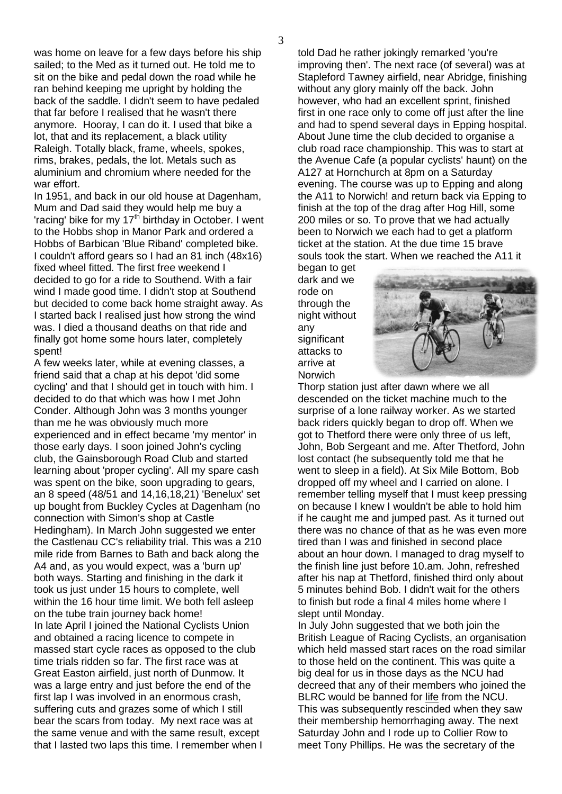was home on leave for a few days before his ship sailed; to the Med as it turned out. He told me to sit on the bike and pedal down the road while he ran behind keeping me upright by holding the back of the saddle. I didn't seem to have pedaled that far before I realised that he wasn't there anymore. Hooray, I can do it. I used that bike a lot, that and its replacement, a black utility Raleigh. Totally black, frame, wheels, spokes, rims, brakes, pedals, the lot. Metals such as aluminium and chromium where needed for the war effort.

In 1951, and back in our old house at Dagenham, Mum and Dad said they would help me buy a 'racing' bike for my  $17<sup>th</sup>$  birthday in October. I went to the Hobbs shop in Manor Park and ordered a Hobbs of Barbican 'Blue Riband' completed bike. I couldn't afford gears so I had an 81 inch (48x16) fixed wheel fitted. The first free weekend I decided to go for a ride to Southend. With a fair wind I made good time. I didn't stop at Southend but decided to come back home straight away. As I started back I realised just how strong the wind was. I died a thousand deaths on that ride and finally got home some hours later, completely spent!

A few weeks later, while at evening classes, a friend said that a chap at his depot 'did some cycling' and that I should get in touch with him. I decided to do that which was how I met John Conder. Although John was 3 months younger than me he was obviously much more experienced and in effect became 'my mentor' in those early days. I soon joined John's cycling club, the Gainsborough Road Club and started learning about 'proper cycling'. All my spare cash was spent on the bike, soon upgrading to gears, an 8 speed (48/51 and 14,16,18,21) 'Benelux' set up bought from Buckley Cycles at Dagenham (no connection with Simon's shop at Castle Hedingham). In March John suggested we enter the Castlenau CC's reliability trial. This was a 210 mile ride from Barnes to Bath and back along the A4 and, as you would expect, was a 'burn up' both ways. Starting and finishing in the dark it took us just under 15 hours to complete, well within the 16 hour time limit. We both fell asleep on the tube train journey back home! In late April I joined the National Cyclists Union and obtained a racing licence to compete in massed start cycle races as opposed to the club time trials ridden so far. The first race was at Great Easton airfield, just north of Dunmow. It was a large entry and just before the end of the first lap I was involved in an enormous crash, suffering cuts and grazes some of which I still bear the scars from today. My next race was at the same venue and with the same result, except that I lasted two laps this time. I remember when I told Dad he rather jokingly remarked 'you're improving then'. The next race (of several) was at Stapleford Tawney airfield, near Abridge, finishing without any glory mainly off the back. John however, who had an excellent sprint, finished first in one race only to come off just after the line and had to spend several days in Epping hospital. About June time the club decided to organise a club road race championship. This was to start at the Avenue Cafe (a popular cyclists' haunt) on the A127 at Hornchurch at 8pm on a Saturday evening. The course was up to Epping and along the A11 to Norwich! and return back via Epping to finish at the top of the drag after Hog Hill, some 200 miles or so. To prove that we had actually been to Norwich we each had to get a platform ticket at the station. At the due time 15 brave souls took the start. When we reached the A11 it

began to get dark and we rode on through the night without any significant attacks to arrive at Norwich



Thorp station just after dawn where we all descended on the ticket machine much to the surprise of a lone railway worker. As we started back riders quickly began to drop off. When we got to Thetford there were only three of us left, John, Bob Sergeant and me. After Thetford, John lost contact (he subsequently told me that he went to sleep in a field). At Six Mile Bottom, Bob dropped off my wheel and I carried on alone. I remember telling myself that I must keep pressing on because I knew I wouldn't be able to hold him if he caught me and jumped past. As it turned out there was no chance of that as he was even more tired than I was and finished in second place about an hour down. I managed to drag myself to the finish line just before 10.am. John, refreshed after his nap at Thetford, finished third only about 5 minutes behind Bob. I didn't wait for the others to finish but rode a final 4 miles home where I slept until Monday.

In July John suggested that we both join the British League of Racing Cyclists, an organisation which held massed start races on the road similar to those held on the continent. This was quite a big deal for us in those days as the NCU had decreed that any of their members who joined the BLRC would be banned for life from the NCU. This was subsequently rescinded when they saw their membership hemorrhaging away. The next Saturday John and I rode up to Collier Row to meet Tony Phillips. He was the secretary of the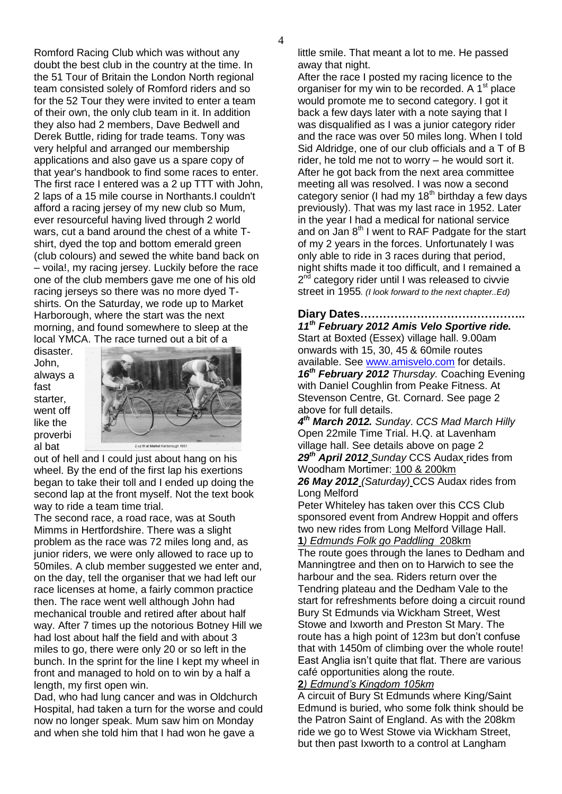Romford Racing Club which was without any doubt the best club in the country at the time. In the 51 Tour of Britain the London North regional team consisted solely of Romford riders and so for the 52 Tour they were invited to enter a team of their own, the only club team in it. In addition they also had 2 members, Dave Bedwell and Derek Buttle, riding for trade teams. Tony was very helpful and arranged our membership applications and also gave us a spare copy of that year's handbook to find some races to enter. The first race I entered was a 2 up TTT with John, 2 laps of a 15 mile course in Northants.I couldn't afford a racing jersey of my new club so Mum, ever resourceful having lived through 2 world wars, cut a band around the chest of a white Tshirt, dyed the top and bottom emerald green (club colours) and sewed the white band back on – voila!, my racing jersey. Luckily before the race one of the club members gave me one of his old racing jerseys so there was no more dyed Tshirts. On the Saturday, we rode up to Market Harborough, where the start was the next morning, and found somewhere to sleep at the local YMCA. The race turned out a bit of a

disaster. John, always a fast starter, went off like the proverbi al bat



out of hell and I could just about hang on his wheel. By the end of the first lap his exertions began to take their toll and I ended up doing the second lap at the front myself. Not the text book way to ride a team time trial.

The second race, a road race, was at South Mimms in Hertfordshire. There was a slight problem as the race was 72 miles long and, as junior riders, we were only allowed to race up to 50miles. A club member suggested we enter and, on the day, tell the organiser that we had left our race licenses at home, a fairly common practice then. The race went well although John had mechanical trouble and retired after about half way. After 7 times up the notorious Botney Hill we had lost about half the field and with about 3 miles to go, there were only 20 or so left in the bunch. In the sprint for the line I kept my wheel in front and managed to hold on to win by a half a length, my first open win.

Dad, who had lung cancer and was in Oldchurch Hospital, had taken a turn for the worse and could now no longer speak. Mum saw him on Monday and when she told him that I had won he gave a

little smile. That meant a lot to me. He passed away that night.

After the race I posted my racing licence to the organiser for my win to be recorded. A  $1<sup>st</sup>$  place would promote me to second category. I got it back a few days later with a note saying that I was disqualified as I was a junior category rider and the race was over 50 miles long. When I told Sid Aldridge, one of our club officials and a T of B rider, he told me not to worry – he would sort it. After he got back from the next area committee meeting all was resolved. I was now a second category senior (I had my  $18<sup>th</sup>$  birthday a few days previously). That was my last race in 1952. Later in the year I had a medical for national service and on Jan  $8<sup>th</sup>$  I went to RAF Padgate for the start of my 2 years in the forces. Unfortunately I was only able to ride in 3 races during that period, night shifts made it too difficult, and I remained a 2<sup>nd</sup> category rider until I was released to civvie street in 1955*. (I look forward to the next chapter..Ed)*

**Diary Dates……………………………………..** *11th February 2012 Amis Velo Sportive ride.* Start at Boxted (Essex) village hall. 9.00am onwards with 15, 30, 45 & 60mile routes available. See [www.amisvelo.com](http://www.amisvelo.com/) for details. *16th February 2012 Thursday.* Coaching Evening with Daniel Coughlin from Peake Fitness. At Stevenson Centre, Gt. Cornard. See page 2 above for full details.

*4 th March 2012. Sunday*. *CCS Mad March Hilly* Open 22mile Time Trial. H.Q. at Lavenham village hall. See details above on page 2 *29th April 2012 Sunday* CCS Audax rides from Woodham Mortimer: 100 & 200km

*26 May 2012 (Saturday)* CCS Audax rides from Long Melford

Peter Whiteley has taken over this CCS Club sponsored event from Andrew Hoppit and offers two new rides from Long Melford Village Hall. **1***) Edmunds Folk go Paddling* 208km

The route goes through the lanes to Dedham and Manningtree and then on to Harwich to see the harbour and the sea. Riders return over the Tendring plateau and the Dedham Vale to the start for refreshments before doing a circuit round Bury St Edmunds via Wickham Street, West Stowe and Ixworth and Preston St Mary. The route has a high point of 123m but don't confuse that with 1450m of climbing over the whole route! East Anglia isn't quite that flat. There are various café opportunities along the route.

#### **2***) Edmund's Kingdom 105km*

A circuit of Bury St Edmunds where King/Saint Edmund is buried, who some folk think should be the Patron Saint of England. As with the 208km ride we go to West Stowe via Wickham Street, but then past Ixworth to a control at Langham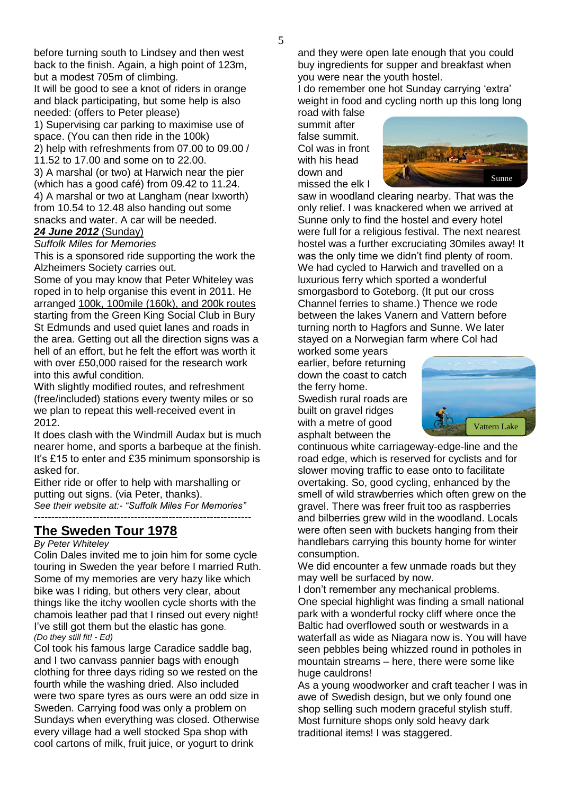before turning south to Lindsey and then west back to the finish. Again, a high point of 123m, but a modest 705m of climbing.

It will be good to see a knot of riders in orange and black participating, but some help is also needed: (offers to Peter please)

1) Supervising car parking to maximise use of space. (You can then ride in the 100k) 2) help with refreshments from 07.00 to 09.00 /

11.52 to 17.00 and some on to 22.00.

3) A marshal (or two) at Harwich near the pier (which has a good café) from 09.42 to 11.24. 4) A marshal or two at Langham (near Ixworth) from 10.54 to 12.48 also handing out some snacks and water. A car will be needed.

### *24 June 2012* (Sunday)

*Suffolk Miles for Memories*

This is a sponsored ride supporting the work the Alzheimers Society carries out.

Some of you may know that Peter Whiteley was roped in to help organise this event in 2011. He arranged 100k, 100mile (160k), and 200k routes starting from the Green King Social Club in Bury St Edmunds and used quiet lanes and roads in the area. Getting out all the direction signs was a hell of an effort, but he felt the effort was worth it with over £50,000 raised for the research work into this awful condition.

With slightly modified routes, and refreshment (free/included) stations every twenty miles or so we plan to repeat this well-received event in 2012.

It does clash with the Windmill Audax but is much nearer home, and sports a barbeque at the finish. It's £15 to enter and £35 minimum sponsorship is asked for.

Either ride or offer to help with marshalling or putting out signs. (via Peter, thanks). *See their website at:- "Suffolk Miles For Memories"* ---------------------------------------------------------------

## **The Sweden Tour 1978**

#### *By Peter Whiteley*

Colin Dales invited me to join him for some cycle touring in Sweden the year before I married Ruth. Some of my memories are very hazy like which bike was I riding, but others very clear, about things like the itchy woollen cycle shorts with the chamois leather pad that I rinsed out every night! I've still got them but the elastic has gone. *(Do they still fit! - Ed)*

Col took his famous large Caradice saddle bag, and I two canvass pannier bags with enough clothing for three days riding so we rested on the fourth while the washing dried. Also included were two spare tyres as ours were an odd size in Sweden. Carrying food was only a problem on Sundays when everything was closed. Otherwise every village had a well stocked Spa shop with cool cartons of milk, fruit juice, or yogurt to drink

and they were open late enough that you could buy ingredients for supper and breakfast when you were near the youth hostel.

I do remember one hot Sunday carrying 'extra' weight in food and cycling north up this long long road with false

summit after false summit. Col was in front with his head down and missed the elk I



saw in woodland clearing nearby. That was the only relief. I was knackered when we arrived at Sunne only to find the hostel and every hotel were full for a religious festival. The next nearest hostel was a further excruciating 30miles away! It was the only time we didn't find plenty of room. We had cycled to Harwich and travelled on a luxurious ferry which sported a wonderful smorgasbord to Goteborg. (It put our cross Channel ferries to shame.) Thence we rode between the lakes Vanern and Vattern before turning north to Hagfors and Sunne. We later stayed on a Norwegian farm where Col had

worked some years earlier, before returning down the coast to catch the ferry home. Swedish rural roads are built on gravel ridges with a metre of good asphalt between the



continuous white carriageway-edge-line and the road edge, which is reserved for cyclists and for slower moving traffic to ease onto to facilitate overtaking. So, good cycling, enhanced by the smell of wild strawberries which often grew on the gravel. There was freer fruit too as raspberries and bilberries grew wild in the woodland. Locals were often seen with buckets hanging from their handlebars carrying this bounty home for winter consumption.

We did encounter a few unmade roads but they may well be surfaced by now.

I don't remember any mechanical problems. One special highlight was finding a small national park with a wonderful rocky cliff where once the Baltic had overflowed south or westwards in a waterfall as wide as Niagara now is. You will have seen pebbles being whizzed round in potholes in mountain streams – here, there were some like huge cauldrons!

As a young woodworker and craft teacher I was in awe of Swedish design, but we only found one shop selling such modern graceful stylish stuff. Most furniture shops only sold heavy dark traditional items! I was staggered.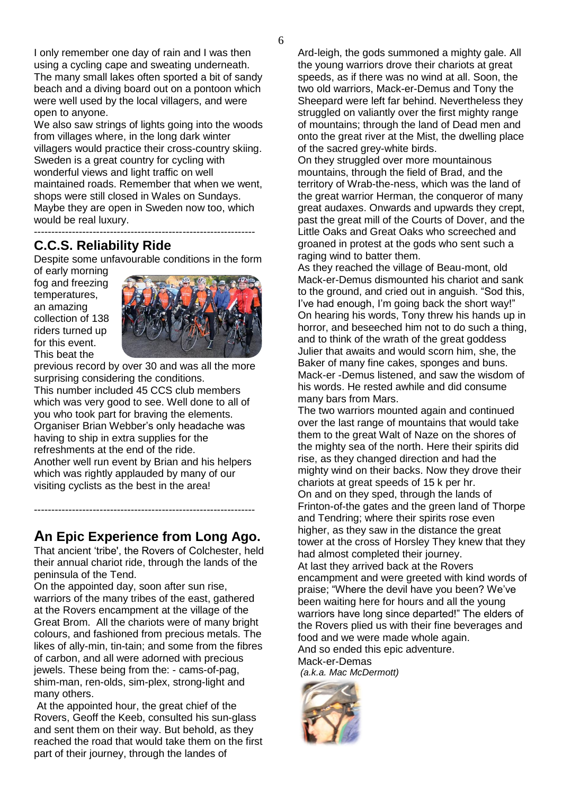I only remember one day of rain and I was then using a cycling cape and sweating underneath. The many small lakes often sported a bit of sandy beach and a diving board out on a pontoon which were well used by the local villagers, and were open to anyone.

We also saw strings of lights going into the woods from villages where, in the long dark winter villagers would practice their cross-country skiing. Sweden is a great country for cycling with wonderful views and light traffic on well maintained roads. Remember that when we went, shops were still closed in Wales on Sundays. Maybe they are open in Sweden now too, which would be real luxury. ----------------------------------------------------------------

## **C.C.S. Reliability Ride**

Despite some unfavourable conditions in the form

of early morning fog and freezing temperatures, an amazing collection of 138 riders turned up for this event. This beat the



previous record by over 30 and was all the more surprising considering the conditions. This number included 45 CCS club members which was very good to see. Well done to all of you who took part for braving the elements. Organiser Brian Webber's only headache was having to ship in extra supplies for the refreshments at the end of the ride. Another well run event by Brian and his helpers which was rightly applauded by many of our visiting cyclists as the best in the area!

# **An Epic Experience from Long Ago.**

----------------------------------------------------------------

That ancient 'tribe', the Rovers of Colchester, held their annual chariot ride, through the lands of the peninsula of the Tend.

On the appointed day, soon after sun rise, warriors of the many tribes of the east, gathered at the Rovers encampment at the village of the Great Brom. All the chariots were of many bright colours, and fashioned from precious metals. The likes of ally-min, tin-tain; and some from the fibres of carbon, and all were adorned with precious jewels. These being from the: - cams-of-pag, shim-man, ren-olds, sim-plex, strong-light and many others.

At the appointed hour, the great chief of the Rovers, Geoff the Keeb, consulted his sun-glass and sent them on their way. But behold, as they reached the road that would take them on the first part of their journey, through the landes of

Ard-leigh, the gods summoned a mighty gale. All the young warriors drove their chariots at great speeds, as if there was no wind at all. Soon, the two old warriors, Mack-er-Demus and Tony the Sheepard were left far behind. Nevertheless they struggled on valiantly over the first mighty range of mountains; through the land of Dead men and onto the great river at the Mist, the dwelling place of the sacred grey-white birds.

On they struggled over more mountainous mountains, through the field of Brad, and the territory of Wrab-the-ness, which was the land of the great warrior Herman, the conqueror of many great audaxes. Onwards and upwards they crept, past the great mill of the Courts of Dover, and the Little Oaks and Great Oaks who screeched and groaned in protest at the gods who sent such a raging wind to batter them.

As they reached the village of Beau-mont, old Mack-er-Demus dismounted his chariot and sank to the ground, and cried out in anguish. "Sod this, I've had enough, I'm going back the short way!" On hearing his words, Tony threw his hands up in horror, and beseeched him not to do such a thing, and to think of the wrath of the great goddess Julier that awaits and would scorn him, she, the Baker of many fine cakes, sponges and buns. Mack-er -Demus listened, and saw the wisdom of his words. He rested awhile and did consume many bars from Mars.

The two warriors mounted again and continued over the last range of mountains that would take them to the great Walt of Naze on the shores of the mighty sea of the north. Here their spirits did rise, as they changed direction and had the mighty wind on their backs. Now they drove their chariots at great speeds of 15 k per hr. On and on they sped, through the lands of Frinton-of-the gates and the green land of Thorpe and Tendring; where their spirits rose even higher, as they saw in the distance the great tower at the cross of Horsley They knew that they had almost completed their journey. At last they arrived back at the Rovers

encampment and were greeted with kind words of praise; "Where the devil have you been? We've been waiting here for hours and all the young warriors have long since departed!" The elders of the Rovers plied us with their fine beverages and food and we were made whole again.

And so ended this epic adventure. Mack-er-Demas

*(a.k.a. Mac McDermott)*